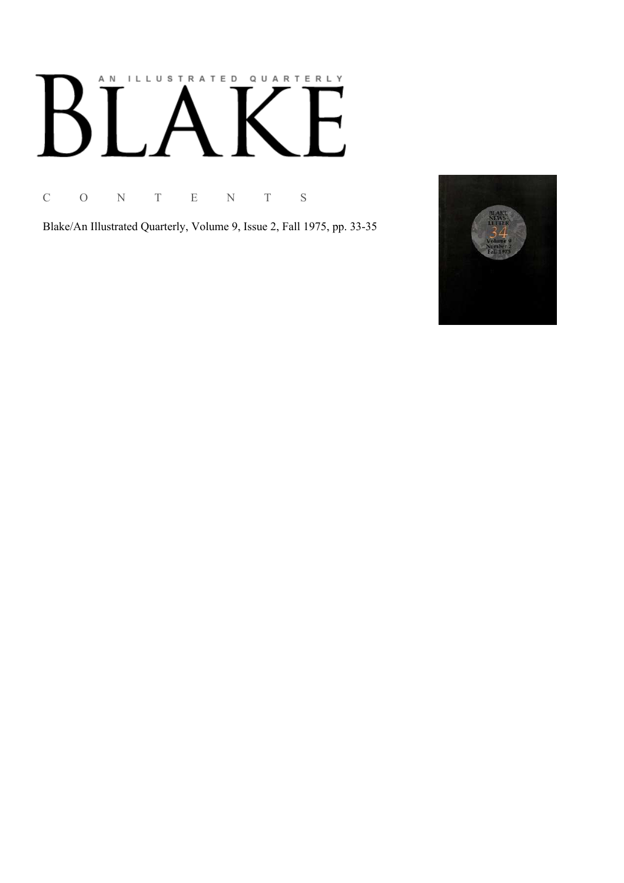## AN ILLUSTRATED QUARTERLY T<br>1

C O N T E N T S

Blake/An Illustrated Quarterly, Volume 9, Issue 2, Fall 1975, pp. 33-35

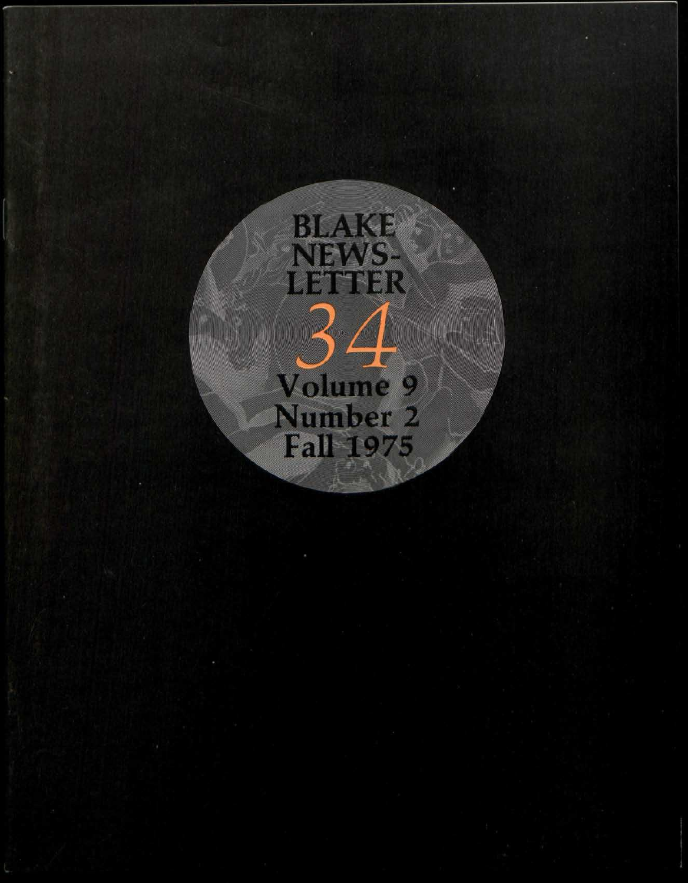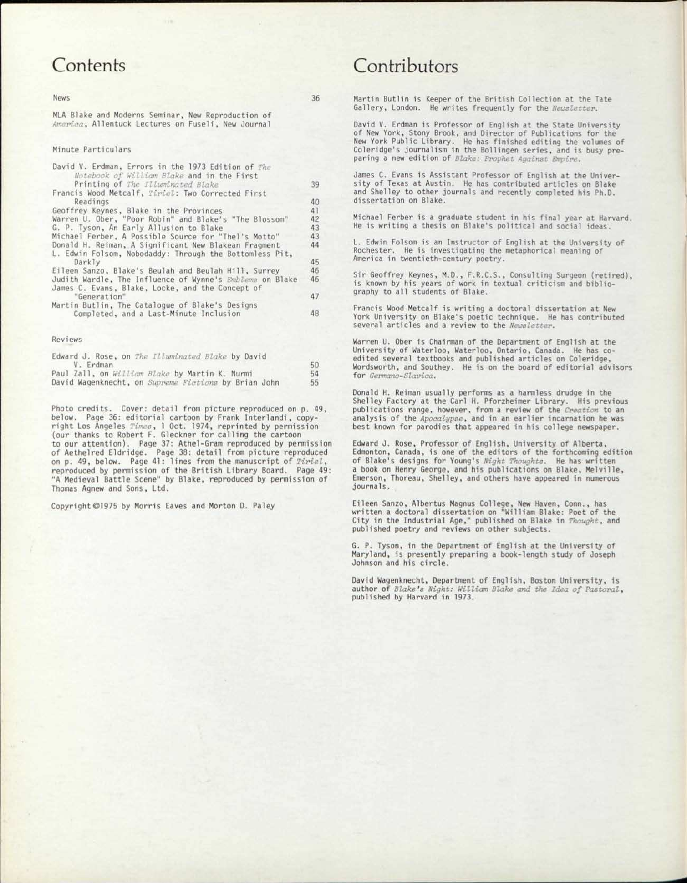## Contents Contributors

## News 36

MLA Blake and Moderns Seminar, New Reproduction of *America,* Allentuck Lectures on Fuseli, New Journal

## Minute Particulars

| David V. Erdman, Errors in the 1973 Edition of The                                                           |    |
|--------------------------------------------------------------------------------------------------------------|----|
| Notebook of William Blake and in the First                                                                   |    |
| Printing of The Illuminated Blake                                                                            | 39 |
| Francis Wood Metcalf, Tiriel: Two Corrected First                                                            |    |
| Readings                                                                                                     | 40 |
| Geoffrey Keynes, Blake in the Provinces                                                                      | 41 |
| Warren U. Ober, "Poor Robin" and Blake's "The Blossom"                                                       | 42 |
| G. P. Tyson, An Early Allusion to Blake                                                                      | 43 |
| Michael Ferber, A Possible Source for "Thel's Motto"                                                         | 43 |
| Donald H. Reiman, A Significant New Blakean Fragment                                                         | 44 |
| L. Edwin Folsom, Nobodaddy: Through the Bottomless Pit,                                                      |    |
| Darkly                                                                                                       | 45 |
| Eileen Sanzo, Blake's Beulah and Beulah Hill, Surrey                                                         | 46 |
| Judith Wardle, The Influence of Wynne's Emblems on Blake<br>James C. Evans, Blake, Locke, and the Concept of | 46 |
| "Generation"                                                                                                 | 47 |
| Martin Butlin, The Catalogue of Blake's Designs                                                              |    |
| Completed, and a Last-Minute Inclusion                                                                       | 48 |

Reviews

| Edward J. Rose, on The Illuminated Blake by David    |    |
|------------------------------------------------------|----|
| V. Erdman                                            | 50 |
| Paul Zall, on William Blake by Martin K. Nurmi       | 54 |
| David Wagenknecht, on Supreme Fictions by Brian John | 55 |

Photo credits. Cover: detail from picture reproduced on p. 49,<br>below. Page 36: editorial cartoon by Frank Interlandi, copybelow. Page 36: editorial cartoon by Frank Interlandi, copy-<br>right Los Angeles *Times*, 1 Oct. 1974, reprinted by permission<br>(our thanks to Robert F. Gleckner for calling the cartoon to our attention). Page 37: Athel-Gram reproduced by permission of Aethelred Eldridge. Page 38: detail from picture reproduced on p. 49, below. Page 41: lines from the manuscript of *Tiriel,*  reproduced by permission of the British Library Board. Page 49: "A Medieval Battle Scene" by Blake, reproduced by permission of Thomas Agnew and Sons, Ltd.

Copyright©1975 by Morris Eaves and Morton D. Paley

Martin Butlin is Keeper of the British Collection at the Tate Gallery, London. He writes frequently for the *Newsletter.* 

David V. Erdman is Professor of English at the State University<br>of New York, Stony Brook, and Director of Publications for the<br>New York Public Library. He has finished editing the volumes of<br>Coleridge's journalism in the B paring a new edition of *Blake: Prophet Against Empire.* 

James C. Evans is Assistant Professor of English at the Univer-sity of Texas at Austin. He has contributed articles on Blake and Shelley to other journals and recently completed his Ph.D. dissertation on Blake.

Michael Ferber is a graduate student in his final year at Harvard. He is writing a thesis on Blake's political and social ideas.

L. Edwin Folsom is an Instructor of English at the University of Rochester. He is investigating the metaphorical meaning of America in twentieth-century poetry.

Sir Geoffrey Keynes, M.D., F.R.C.S., Consulting Surgeon (retired), is known by his years of work in textual criticism and biblio-graphy to all students of Blake.

Francis Wood Metcalf is writing a doctoral dissertation at New York University on Blake's poetic technique. He has contributed several articles and a review to the *Newsletter.* 

Warren U. Ober is Chairman of the Department of English at the University of Waterloo, Waterloo, Ontario, Canada. He has coedited several textbooks and published articles on Coleridge, Wordsworth, and Southey. He is on the board of editorial advisors for *Germano-Slavica.* 

Donald H. Reiman usually performs as a harmless drudge in the<br>Shelley Factory at the Carl H. Pforzheimer Library. His previous<br>publications range, however, from a review of the *Creatio*n to an<br>analysis of the Apo*ealypse* best known for parodies that appeared in his college newspaper.

Edward J. Rose, Professor of English, University of Alberta, Edmonton, Canada, is one of the editors of the forthcoming edition<br>of Blake's designs for Young's Night Thoughts. He has written<br>a book on Henry George, and his publications on Blake, Melville,<br>Emerson, Thoreau, Shelley, a journals.

Eileen Sanzo, Albertus Magnus College, New Haven, Conn., has written a doctoral dissertation on "William Blake: Poet of the City in the Industrial Age," published on Blake in *Thought,* and published poetry and reviews on other subjects.

G. P. Tyson, in the Department of English at the University of Maryland, is presently preparing a book-length study of Joseph Johnson and his circle.

David Wagenknecht, Department of English, Boston University, is author of *Blake's Night: William Blake and the Idea of Pastoral,*  published by Harvard in 1973.